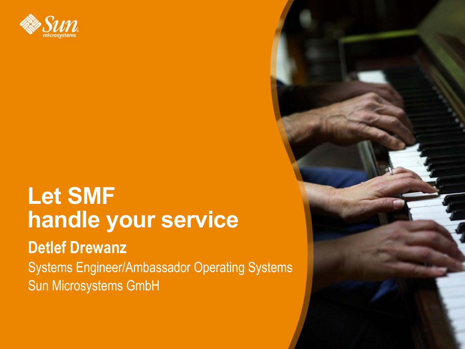

### **Let SMF handle your service**

#### **Detlef Drewanz**

Systems Engineer/Ambassador Operating Systems Sun Microsystems GmbH

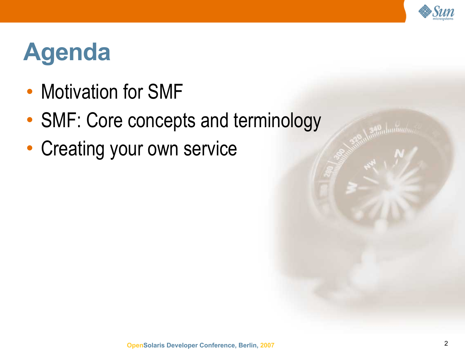

## **Agenda**

- Motivation for SMF
- SMF: Core concepts and terminology
- Creating your own service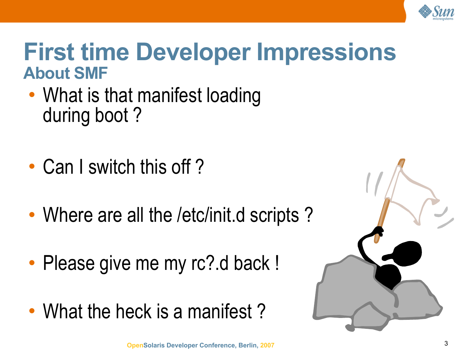

#### **First time Developer Impressions About SMF**

- What is that manifest loading during boot ?
- Can I switch this off?
- Where are all the /etc/init.d scripts?
- Please give me my rc?.d back !
- What the heck is a manifest?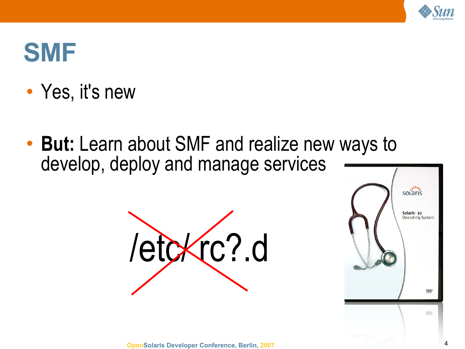

### **SMF**

- Yes, it's new
- **But:** Learn about SMF and realize new ways to develop, deploy and manage services



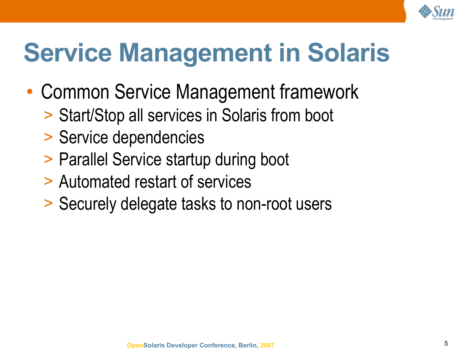

# **Service Management in Solaris**

- Common Service Management framework
	- > Start/Stop all services in Solaris from boot
	- > Service dependencies
	- > Parallel Service startup during boot
	- > Automated restart of services
	- > Securely delegate tasks to non-root users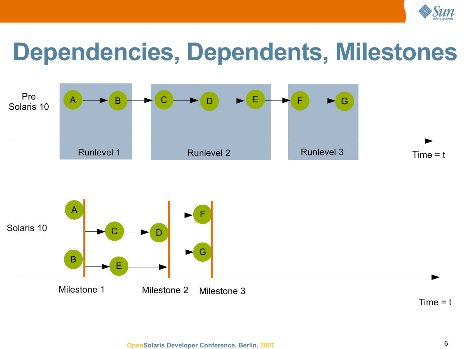

## **Dependencies, Dependents, Milestones**



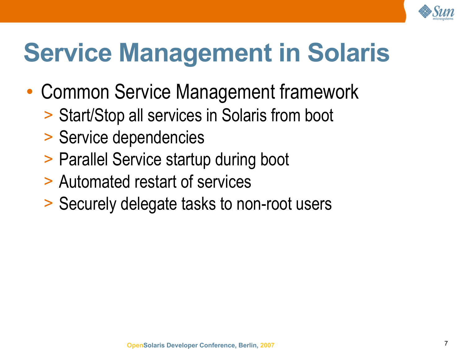

# **Service Management in Solaris**

- Common Service Management framework
	- > Start/Stop all services in Solaris from boot
	- > Service dependencies
	- > Parallel Service startup during boot
	- > Automated restart of services
	- > Securely delegate tasks to non-root users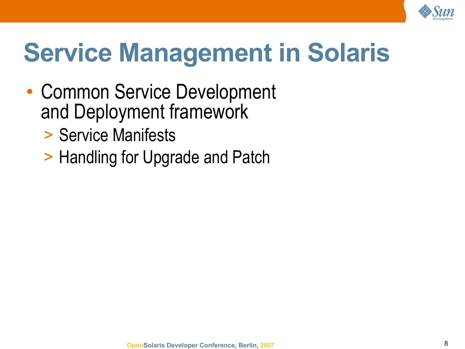

# **Service Management in Solaris**

- Common Service Development and Deployment framework
	- > Service Manifests
	- > Handling for Upgrade and Patch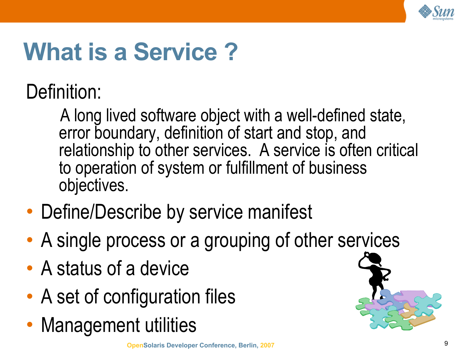

## **What is a Service ?**

Definition:

 A long lived software object with a well-defined state, error boundary, definition of start and stop, and relationship to other services. A service is often critical to operation of system or fulfillment of business objectives.

- Define/Describe by service manifest
- A single process or a grouping of other services
- A status of a device
- A set of configuration files
- Management utilities

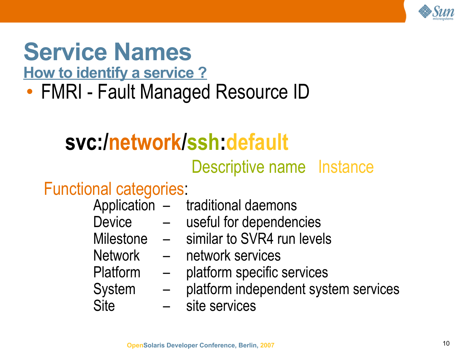

#### **Service Names How to identify a service ?**

• FMRI - Fault Managed Resource ID

### **svc:/network/ssh:default**

#### Descriptive name Instance

#### Functional categories:

|                 |                          | Application - traditional daemons    |
|-----------------|--------------------------|--------------------------------------|
| Device          |                          | useful for dependencies              |
| Milestone       |                          | - similar to SVR4 run levels         |
| <b>Network</b>  | $\sim$ $-$               | network services                     |
| <b>Platform</b> | $\overline{\phantom{0}}$ | platform specific services           |
| System          | $\frac{1}{2}$            | platform independent system services |
| <b>Site</b>     | $\overline{\phantom{0}}$ | site services                        |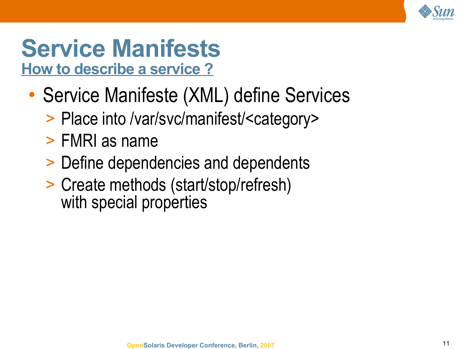

#### **Service Manifests How to describe a service ?**

- Service Manifeste (XML) define Services
	- > Place into /var/svc/manifest/<category>
	- > FMRI as name
	- > Define dependencies and dependents
	- > Create methods (start/stop/refresh) with special properties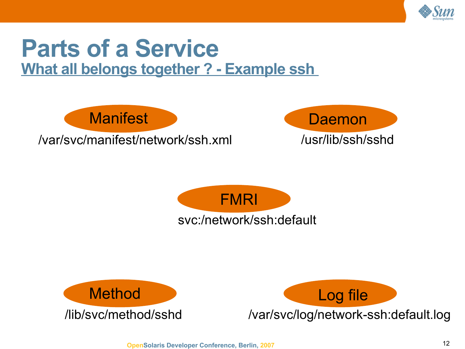

#### **Parts of a Service What all belongs together ? - Example ssh**



/var/svc/manifest/network/ssh.xml







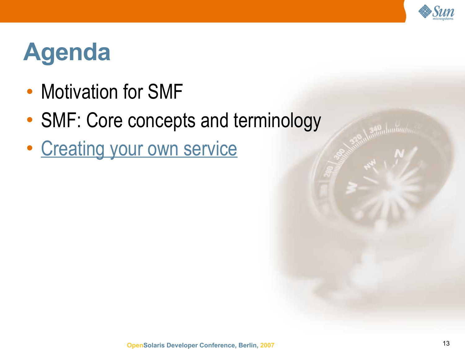

**unTundra** 

## **Agenda**

- Motivation for SMF
- SMF: Core concepts and terminology
- Creating your own service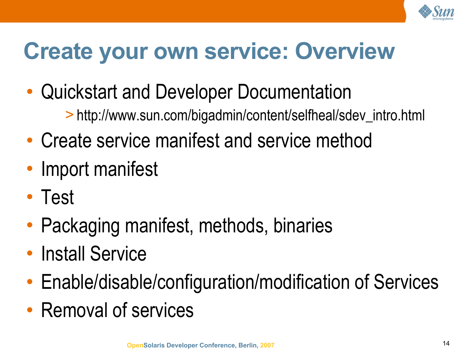

## **Create your own service: Overview**

- Quickstart and Developer Documentation
	- > http://www.sun.com/bigadmin/content/selfheal/sdev\_intro.html
- Create service manifest and service method
- Import manifest
- Test
- Packaging manifest, methods, binaries
- Install Service
- Enable/disable/configuration/modification of Services
- Removal of services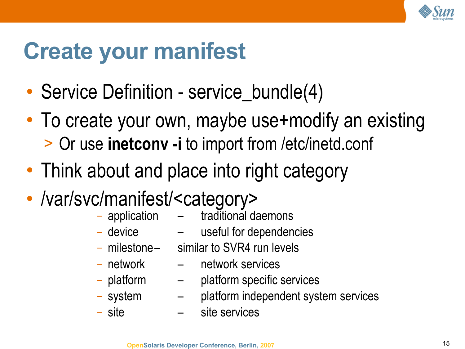

### **Create your manifest**

- Service Definition service\_bundle(4)
- To create your own, maybe use+modify an existing > Or use **inetconv -i** to import from /etc/inetd.conf
- Think about and place into right category
- /var/svc/manifest/<category>
	- application traditional daemons
	- device useful for dependencies
	- milestone– similar to SVR4 run levels
	-
	- network network services
	-
	-
	-
- 
- platform platform specific services
- system platform independent system services
- site site services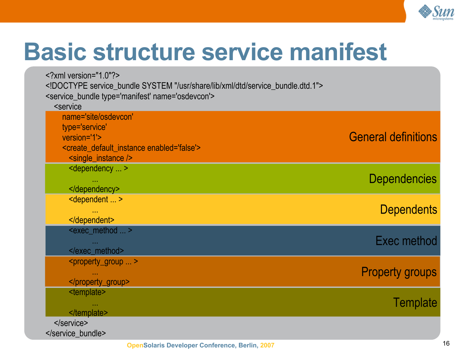

## **Basic structure service manifest**

| $\gamma$ xml version="1.0"?><br>service_bundle SYSTEM "/usr/share/lib/xml/dtd/service_bundle.dtd.1"<br><service_bundle name="osdevcon" type="manifest"></service_bundle> |                            |
|--------------------------------------------------------------------------------------------------------------------------------------------------------------------------|----------------------------|
| <service< td=""><td></td></service<>                                                                                                                                     |                            |
| name='site/osdevcon'<br>type='service'<br>version='1'><br><create_default_instance enabled="false"></create_default_instance>                                            | <b>General definitions</b> |
| <single_instance></single_instance>                                                                                                                                      |                            |
| <dependency><br/></dependency>                                                                                                                                           | <b>Dependencies</b>        |
| <dependent></dependent>                                                                                                                                                  |                            |
|                                                                                                                                                                          | <b>Dependents</b>          |
|                                                                                                                                                                          |                            |
| <exec_method><br/></exec_method>                                                                                                                                         | <b>Exec method</b>         |
| <property_group></property_group>                                                                                                                                        | <b>Property groups</b>     |
| <br><template></template>                                                                                                                                                |                            |
|                                                                                                                                                                          | <b>Template</b>            |
|                                                                                                                                                                          |                            |
|                                                                                                                                                                          |                            |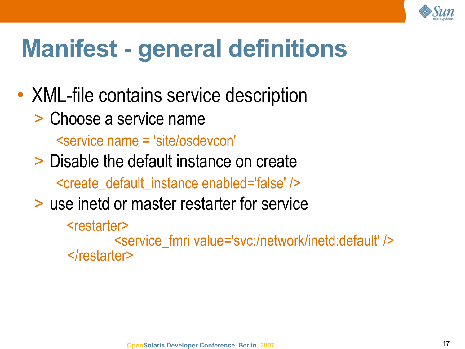

## **Manifest - general definitions**

- XML-file contains service description
	- > Choose a service name

<service name = 'site/osdevcon'

- > Disable the default instance on create <create\_default\_instance enabled='false' />
- > use inetd or master restarter for service

 <restarter> <service\_fmri value='svc:/network/inetd:default' /> </restarter>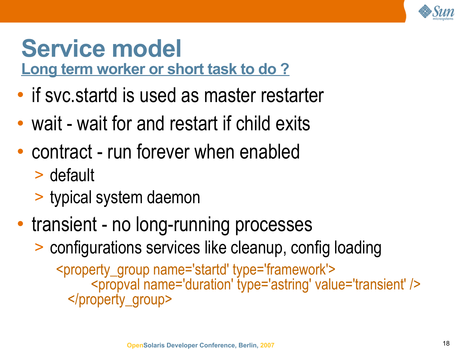

# **Service model**

**Long term worker or short task to do ?**

- if svc. startd is used as master restarter
- wait wait for and restart if child exits
- contract run forever when enabled
	- > default
	- > typical system daemon
- transient no long-running processes
	- > configurations services like cleanup, config loading

<property\_group name='startd' type='framework'> <propval name='duration' type='astring' value='transient' /> </property\_group>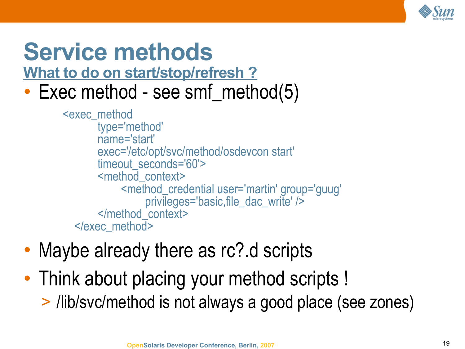

# **Service methods**

**What to do on start/stop/refresh ?**

#### • Exec method - see smf method(5)

<exec\_method type='method' name='start' exec='/etc/opt/svc/method/osdevcon start' timeout\_seconds='60'> <method\_context> <method\_credential user='martin' group='guug' privileges='basic,file\_dac\_write' /> </method\_context> </exec\_method>

- Maybe already there as rc? d scripts
- Think about placing your method scripts !
	- > /lib/svc/method is not always a good place (see zones)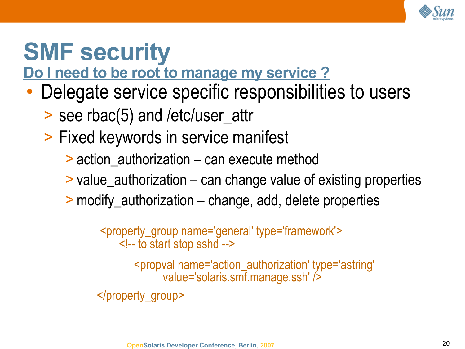

# **SMF security**

#### **Do I need to be root to manage my service ?**

- Delegate service specific responsibilities to users
	- > see rbac(5) and /etc/user\_attr
	- > Fixed keywords in service manifest
		- > action\_authorization can execute method
		- > value\_authorization can change value of existing properties
		- >modify\_authorization change, add, delete properties

```
<property_group name='general' type='framework'>
    <!-- to start stop sshd -->
```

```
 <propval name='action_authorization' type='astring'
      value='solaris.smf.manage.ssh' />
```

```
</property_group>
```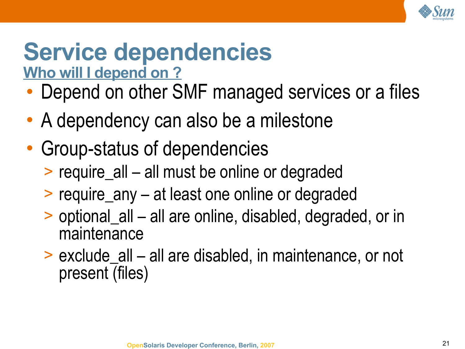

#### **Service dependencies Who will I depend on ?**

- Depend on other SMF managed services or a files
- A dependency can also be a milestone
- Group-status of dependencies
	- > require\_all all must be online or degraded
	- > require\_any at least one online or degraded
	- > optional\_all all are online, disabled, degraded, or in maintenance
	- > exclude\_all all are disabled, in maintenance, or not present (files)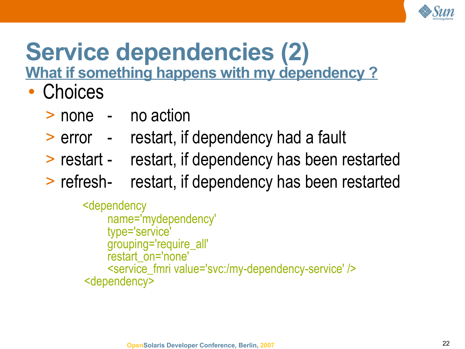

# **Service dependencies (2)**

**What if something happens with my dependency ?**

### • Choices

- > none no action
- > error restart, if dependency had a fault
- > restart restart, if dependency has been restarted
- > refresh- restart, if dependency has been restarted

```
 <dependency
     name='mydependency'
     type='service'
     grouping='require_all'
     restart_on='none'
     <service_fmri value='svc:/my-dependency-service' />
<dependency>
```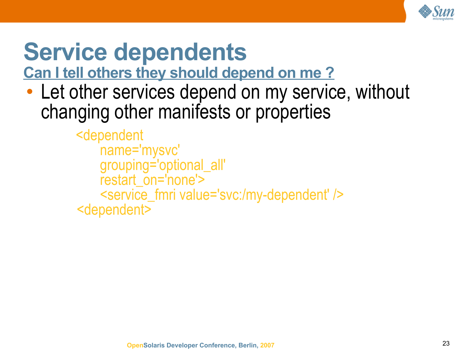

## **Service dependents**

**Can I tell others they should depend on me ?**

• Let other services depend on my service, without changing other manifests or properties

```
 <dependent
   name='mysvc'
   grouping='optional_all'
   restart_on='none'>
   <service_fmri value='svc:/my-dependent' />
<dependent>
```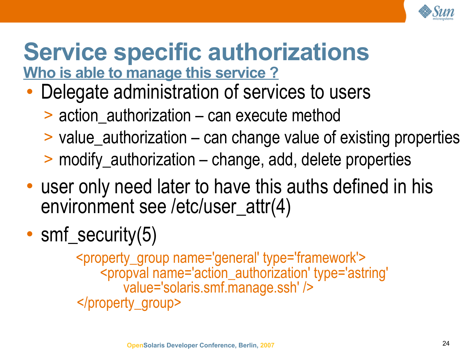

#### **Service specific authorizations Who is able to manage this service ?**

- Delegate administration of services to users
	- > action\_authorization can execute method
	- > value\_authorization can change value of existing properties
	- > modify\_authorization change, add, delete properties
- user only need later to have this auths defined in his environment see /etc/user\_attr(4)
- smf\_security(5)

 <property\_group name='general' type='framework'> <propval name='action\_authorization' type='astring' value='solaris.smf.manage.ssh' />

</property\_group>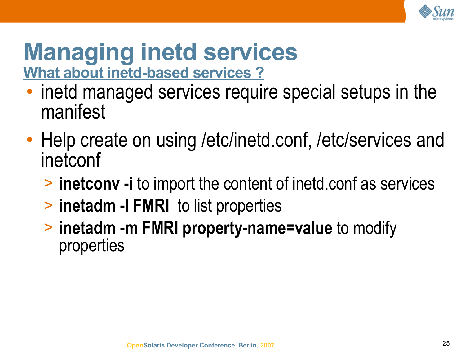

#### **Managing inetd services What about inetd-based services ?**

- inetd managed services require special setups in the manifest
- Help create on using /etc/inetd.conf, /etc/services and inetconf
	- > **inetconv -i** to import the content of inetd.conf as services
	- > **inetadm -l FMRI** to list properties
	- > **inetadm -m FMRI property-name=value** to modify properties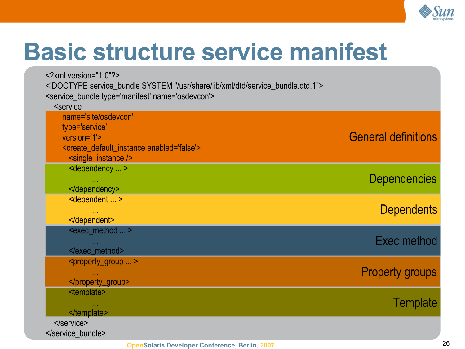

## **Basic structure service manifest**

| xml version="1.0"?<br>service_bundle SYSTEM "/usr/share/lib/xml/dtd/service_bundle.dtd.1"<br><service_bundle name="osdevcon" type="manifest"><br/><service< th=""><th></th></service<></service_bundle> |                            |
|---------------------------------------------------------------------------------------------------------------------------------------------------------------------------------------------------------|----------------------------|
| name='site/osdevcon'<br>type='service'<br>version='1'><br><create_default_instance enabled="false"><br/><single_instance></single_instance></create_default_instance>                                   | <b>General definitions</b> |
| <dependency><br/></dependency>                                                                                                                                                                          | <b>Dependencies</b>        |
| <dependent><br/></dependent>                                                                                                                                                                            | <b>Dependents</b>          |
| <exec_method><br/></exec_method>                                                                                                                                                                        | <b>Exec method</b>         |
| <property_group><br/></property_group>                                                                                                                                                                  | <b>Property groups</b>     |
| <template><br/></template>                                                                                                                                                                              | <b>Template</b>            |
| <br>                                                                                                                                                                                                    |                            |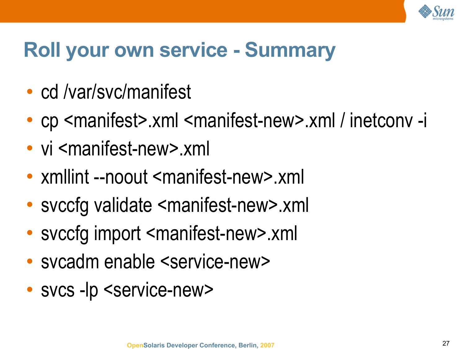

### **Roll your own service - Summary**

- cd /var/svc/manifest
- cp <manifest>.xml <manifest-new>.xml / inetconv -i
- vi <manifest-new> xml
- xmllint --noout <manifest-new>.xml
- svccfg validate <manifest-new>.xml
- svccfg import <manifest-new>.xml
- svcadm enable <service-new>
- svcs -lp <service-new>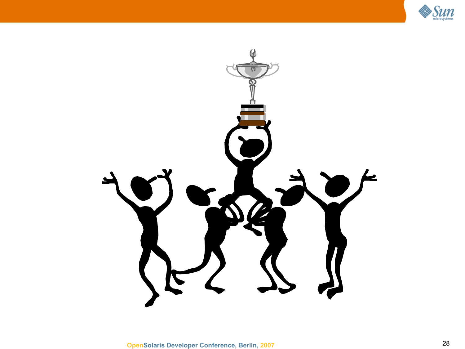

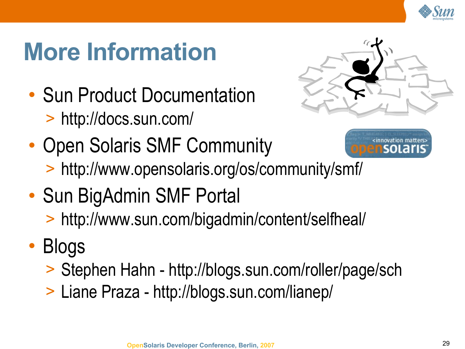

## **More Information**

• Sun Product Documentation > http://docs.sun.com/



<innovation matters> solar

- Open Solaris SMF Community > http://www.opensolaris.org/os/community/smf/
- Sun BigAdmin SMF Portal > http://www.sun.com/bigadmin/content/selfheal/
- Blogs
	- > Stephen Hahn http://blogs.sun.com/roller/page/sch
	- > Liane Praza http://blogs.sun.com/lianep/